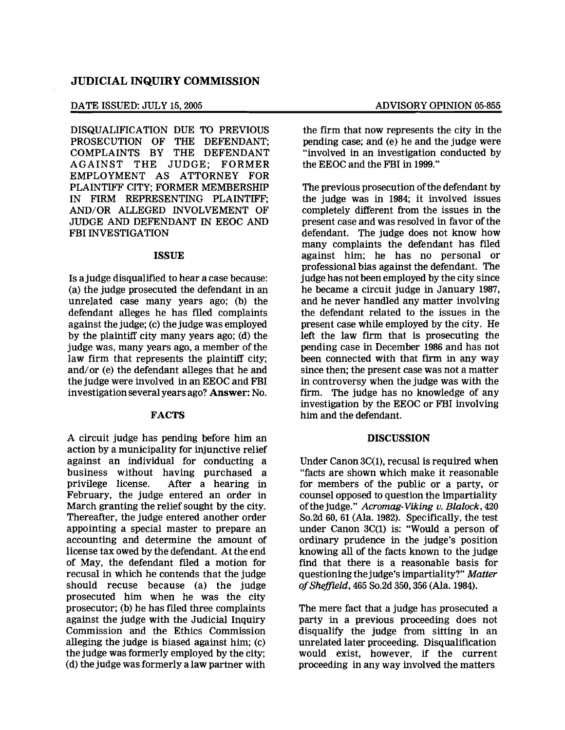## DATE ISSUED: JULY 15, 2005 ADVISORY OPINION 05-855

DISQUALIFICATION DUE TO PREVIOUS PROSECUTION OF THE DEFENDANT; COMPLAINTS BY THE DEFENDANT AGAINST THE JUDGE; FORMER EMPLOYMENT AS ATTORNEY FOR PLAINTIFF CITY; FORMER MEMBERSHIP IN FIRM REPRESENTING PLAINTIFF; AND/OR ALLEGED INVOLVEMENT OF JUDGE AND DEFENDANT IN EEOC AND FBI INVESTIGATION

## ISSUE

Is a judge disqualified to hear a case because: (a) the judge prosecuted the defendant in an unrelated case many years ago; (b) the defendant alleges he has filed complaints against the judge; (c) the judge was employed by the plaintiff city many years ago; (d) the judge was, many years ago, a member of the law firm that represents the plaintiff city; and/or (e) the defendant alleges that he and the judge were involved in an EEOC and FBI investigation several years ago? Answer: No.

### FACTS

A circuit judge has pending before him an action by a municipality for injunctive relief against an individual for conducting a business without having purchased a privilege license. After a hearing in February, the judge entered an order in March granting the relief sought by the city. Thereafter, the judge entered another order appointing a special master to prepare an accounting and determine the amount of license tax owed by the defendant. At the end of May, the defendant filed a motion for recusal in which he contends that the judge should recuse because (a) the judge prosecuted him when he was the city prosecutor; (b) he has filed three complaints against the judge with the Judicial Inquiry Commission and the Ethics Commission alleging the judge is biased against him; (c) the judge was formerly employed by the city; (d) the judge was formerly a law partner with

the firm that now represents the city in the pending case; and (e) he and the judge were "involved in an investigation conducted by the EEOC and the FBI in 1999."

The previous prosecution of the defendant by the judge was in 1984; it involved issues completely different from the issues in the present case and was resolved in favor of the defendant. The judge does not know how many complaints the defendant has filed against him; he has no personal or professional bias against the defendant. The judge has not been employed by the city since he became a circuit judge in January 1987, and he never handled any matter involving the defendant related to the issues in the present case while employed by the city. He left the law firm that is prosecuting the pending case in December 1986 and has not been connected with that firm in any way since then; the present case was not a matter in controversy when the judge was with the firm. The judge has no knowledge of any investigation by the EEOC or FBI involving him and the defendant.

### **DISCUSSION**

Under Canon 3C(I), recusal is required when "facts are shown which make it reasonable for members of the public or a party, or counsel opposed to question the impartiality ofthe judge." Acromag-Viking v. Blalock, *420*  So.2d 60, 61 (Ala. 1982). Specifically, the test under Canon 3C(I) is: "Would a person of ordinary prudence in the judge's position knowing all of the facts known to the judge find that there is a reasonable basis for questioning the judge's impartiality?" Matter *ofSheffzeld,* 465 So.2d 350, 356 (Ala. 1984).

The mere fact that a judge has prosecuted a party in a previous proceeding does not disqualify the judge from sitting in an unrelated later proceeding. Disqualification would exist, however, if the current proceeding in any way involved the matters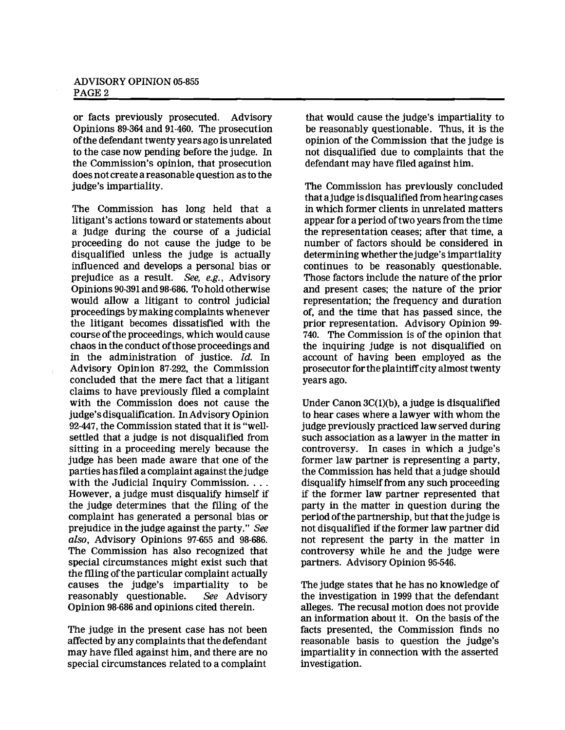# ADVISORY OPINION 05·855 PAGE 2

or facts previously prosecuted. Advisory Opinions 89-364 and 91-460. The prosecution ofthe defendant twenty years ago is unrelated to the case now pending before the judge. In the Commission's opinion, that prosecution does not create a reasonable question as to the judge's impartiality.

The Commission has long held that a litigant's actions toward or statements about a judge during the course of a judicial proceeding do not cause the judge to be disqualified unless the judge is actually influenced and develops a personal bias or prejudice as a result. See, e.g., Advisory Opinions 90-391 and 98-686. To hold otherwise would allow a litigant to control judicial proceedings by making complaints whenever the litigant becomes dissatisfied with the course ofthe proceedings, which would cause chaos in the conduct ofthose proceedings and in the administration of justice.  $Id$ . In Advisory Opinion 87-292, the Commission concluded that the mere fact that a litigant claims to have previously filed a complaint with the Commission does not cause the judge's disqualification. InAdvisory Opinion 92-447, the Commission stated that it is "wellsettled that a judge is not disqualified from sitting in a proceeding merely because the judge has been made aware that one of the parties hasfiled a complaint against thejudge with the Judicial Inquiry Commission.... However, a judge must disqualify himself if the judge determines that the filing of the complaint has generated a personal bias or prejudice in the judge against the party." See *also,* Advisory Opinions 97-655 and 98-686. The Commission has also recognized that special circumstances might exist such that the filing of the particular complaint actually causes the judge's impartiality to be reasonably questionable. See Advisory Opinion 98-686 and opinions cited therein.

The judge in the present case has not been affected by any complaints that the defendant may have filed against him, and there are no special circumstances related to a complaint

that would cause the judge's impartiality to be reasonably questionable. Thus, it is the opinion of the Commission that the judge is not disqualified due to complaints that the defendant may have filed against him.

The Commission has previously concluded that ajudge is disqualified from hearing cases in which former clients in unrelated matters appear for a period of two years from the time the representation ceases; after that time, a number of factors should be considered in determining whether the judge's impartiality continues to be reasonably questionable. Those factors include the nature of the prior and present cases; the nature of the prior representation; the frequency and duration of, and the time that has passed since, the prior representation. Advisory Opinion 99 740. The Commission is of the opinion that the inquiring judge is not disqualified on account of haVing been employed as the prosecutor for the plaintiffcity almost twenty years ago.

Under Canon 3C(1)(b), a judge is disqualified to hear cases where a lawyer with whom the judge previously practiced law served during such association as a lawyer in the matter in controversy. In cases in which a judge's former law partner is representing a party, the Commission has held that a judge should disqualify himself from any such proceeding if the former law partner represented that party in the matter in question during the period ofthe partnership, but that thejudge is not disqualified if the former law partner did not represent the party in the matter in controversy while he and the judge were partners. Advisory Opinion 95-546.

The judge states that he has no knowledge of the investigation in 1999 that the defendant alleges. The recusal motion does not provide an information about it. On the basis of the facts presented, the Commission finds no reasonable basis to question the judge's impartiality in connection with the asserted investigation.